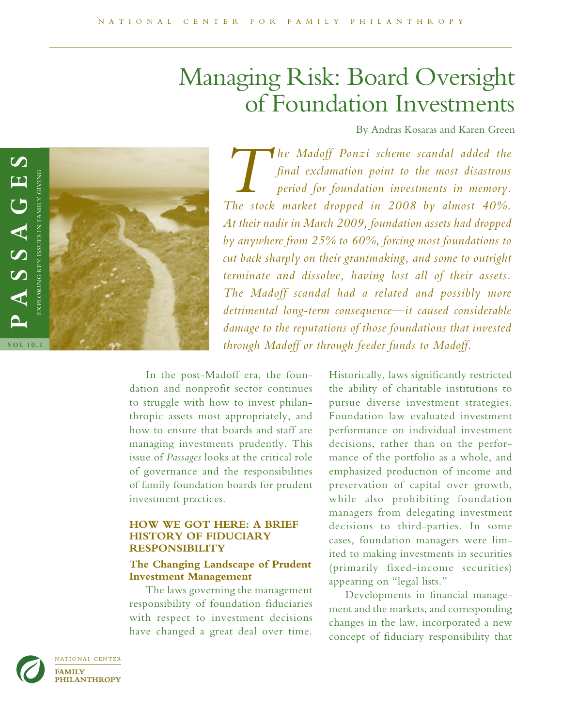# Managing Risk: Board Oversight of Foundation Investments

By Andras Kosaras and Karen Green



*The Madoff Ponzi scheme scandal added the final exclamation point to the most disastrous period for foundation investments in memory. The stock market dropped in 2008 by almost 40%. At their nadir in March 2009, foundation assets had dropped by anywhere from 25% to 60%, forcing most foundations to cut back sharply on their grantmaking, and some to outright terminate and dissolve, having lost all of their assets. The Madoff scandal had a related and possibly more detrimental long-term consequence—it caused considerable damage to the reputations of those foundations that invested through Madoff or through feeder funds to Madoff.* 

In the post-Madoff era, the foundation and nonprofit sector continues to struggle with how to invest philanthropic assets most appropriately, and how to ensure that boards and staff are managing investments prudently. This issue of *Passages* looks at the critical role of governance and the responsibilities of family foundation boards for prudent investment practices.

## **HOW WE GOT HERE: A BRIEF HISTORY OF FIDUCIARY RESPONSIBILITY**

# **The Changing Landscape of Prudent Investment Management**

The laws governing the management responsibility of foundation fiduciaries with respect to investment decisions have changed a great deal over time.

Historically, laws significantly restricted the ability of charitable institutions to pursue diverse investment strategies. Foundation law evaluated investment performance on individual investment decisions, rather than on the performance of the portfolio as a whole, and emphasized production of income and preservation of capital over growth, while also prohibiting foundation managers from delegating investment decisions to third-parties. In some cases, foundation managers were limited to making investments in securities (primarily fixed-income securities) appearing on "legal lists."

Developments in financial management and the markets, and corresponding changes in the law, incorporated a new concept of fiduciary responsibility that

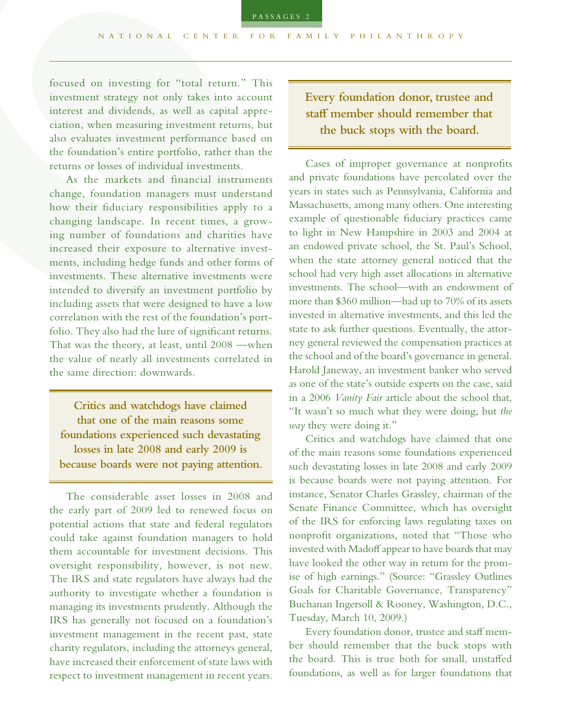focused on investing for "total return." This investment strategy not only takes into account interest and dividends, as well as capital appreciation, when measuring investment returns, but also evaluates investment performance based on the foundation's entire portfolio, rather than the returns or losses of individual investments.

As the markets and financial instruments change, foundation managers must understand how their fiduciary responsibilities apply to a changing landscape. In recent times, a growing number of foundations and charities have increased their exposure to alternative investments, including hedge funds and other forms of investments. These alternative investments were intended to diversify an investment portfolio by including assets that were designed to have a low correlation with the rest of the foundation's portfolio. They also had the lure of significant returns. That was the theory, at least, until 2008 *—*when the value of nearly all investments correlated in the same direction: downwards.

**Critics and watchdogs have claimed that one of the main reasons some foundations experienced such devastating losses in late 2008 and early 2009 is because boards were not paying attention.**

The considerable asset losses in 2008 and the early part of 2009 led to renewed focus on potential actions that state and federal regulators could take against foundation managers to hold them accountable for investment decisions. This oversight responsibility, however, is not new. The IRS and state regulators have always had the authority to investigate whether a foundation is managing its investments prudently. Although the IRS has generally not focused on a foundation's investment management in the recent past, state charity regulators, including the attorneys general, have increased their enforcement of state laws with respect to investment management in recent years.

**Every foundation donor, trustee and staff member should remember that the buck stops with the board.**

Cases of improper governance at nonprofits and private foundations have percolated over the years in states such as Pennsylvania, California and Massachusetts, among many others. One interesting example of questionable fiduciary practices came to light in New Hampshire in 2003 and 2004 at an endowed private school, the St. Paul's School, when the state attorney general noticed that the school had very high asset allocations in alternative investments. The school*—*with an endowment of more than \$360 million*—*had up to 70% of its assets invested in alternative investments, and this led the state to ask further questions. Eventually, the attorney general reviewed the compensation practices at the school and of the board's governance in general. Harold Janeway, an investment banker who served as one of the state's outside experts on the case, said in a 2006 *Vanity Fair* article about the school that, "It wasn't so much what they were doing, but *the way* they were doing it."

Critics and watchdogs have claimed that one of the main reasons some foundations experienced such devastating losses in late 2008 and early 2009 is because boards were not paying attention. For instance, Senator Charles Grassley, chairman of the Senate Finance Committee, which has oversight of the IRS for enforcing laws regulating taxes on nonprofit organizations, noted that "Those who invested with Madoff appear to have boards that may have looked the other way in return for the promise of high earnings." (Source: "Grassley Outlines Goals for Charitable Governance, Transparency" Buchanan Ingersoll & Rooney, Washington, D.C., Tuesday, March 10, 2009.)

Every foundation donor, trustee and staff member should remember that the buck stops with the board. This is true both for small, unstaffed foundations, as well as for larger foundations that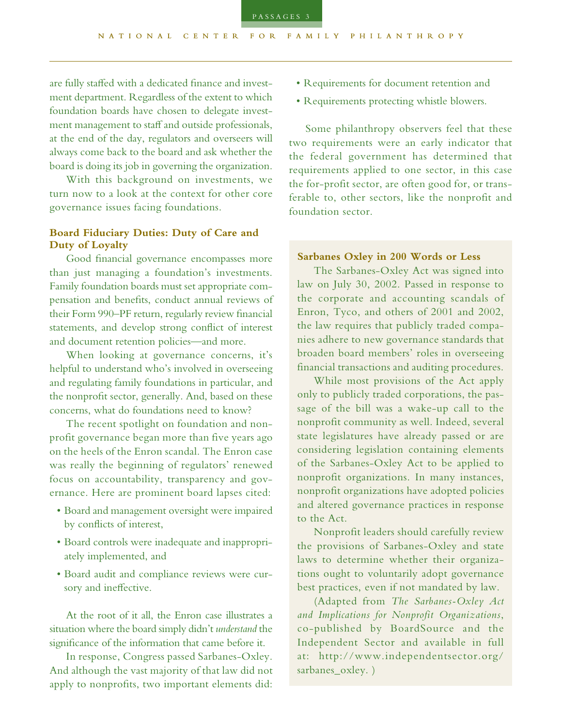ment department. Regardless of the extent to which foundation boards have chosen to delegate investment management to staff and outside professionals, at the end of the day, regulators and overseers will always come back to the board and ask whether the board is doing its job in governing the organization.

With this background on investments, we turn now to a look at the context for other core governance issues facing foundations.

# **Board Fiduciary Duties: Duty of Care and Duty of Loyalty**

Good financial governance encompasses more than just managing a foundation's investments. Family foundation boards must set appropriate compensation and benefits, conduct annual reviews of their Form 990–PF return, regularly review financial statements, and develop strong conflict of interest and document retention policies*—*and more.

When looking at governance concerns, it's helpful to understand who's involved in overseeing and regulating family foundations in particular, and the nonprofit sector, generally. And, based on these concerns, what do foundations need to know?

The recent spotlight on foundation and nonprofit governance began more than five years ago on the heels of the Enron scandal. The Enron case was really the beginning of regulators' renewed focus on accountability, transparency and governance. Here are prominent board lapses cited:

- Board and management oversight were impaired by conflicts of interest,
- Board controls were inadequate and inappropriately implemented, and
- Board audit and compliance reviews were cursory and ineffective.

At the root of it all, the Enron case illustrates a situation where the board simply didn't *understand* the significance of the information that came before it.

In response, Congress passed Sarbanes-Oxley. And although the vast majority of that law did not apply to nonprofits, two important elements did:

- Requirements for document retention and
- Requirements protecting whistle blowers.

Some philanthropy observers feel that these two requirements were an early indicator that the federal government has determined that requirements applied to one sector, in this case the for-profit sector, are often good for, or transferable to, other sectors, like the nonprofit and foundation sector.

#### **Sarbanes Oxley in 200 Words or Less**

The Sarbanes-Oxley Act was signed into law on July 30, 2002. Passed in response to the corporate and accounting scandals of Enron, Tyco, and others of 2001 and 2002, the law requires that publicly traded companies adhere to new governance standards that broaden board members' roles in overseeing financial transactions and auditing procedures.

While most provisions of the Act apply only to publicly traded corporations, the passage of the bill was a wake-up call to the nonprofit community as well. Indeed, several state legislatures have already passed or are considering legislation containing elements of the Sarbanes-Oxley Act to be applied to nonprofit organizations. In many instances, nonprofit organizations have adopted policies and altered governance practices in response to the Act.

Nonprofit leaders should carefully review the provisions of Sarbanes-Oxley and state laws to determine whether their organizations ought to voluntarily adopt governance best practices, even if not mandated by law.

(Adapted from *The Sarbanes-Oxley Act and Implications for Nonprofit Organizations*, co-published by BoardSource and the Independent Sector and available in full at: http://www.independentsector.org/ sarbanes\_oxley. )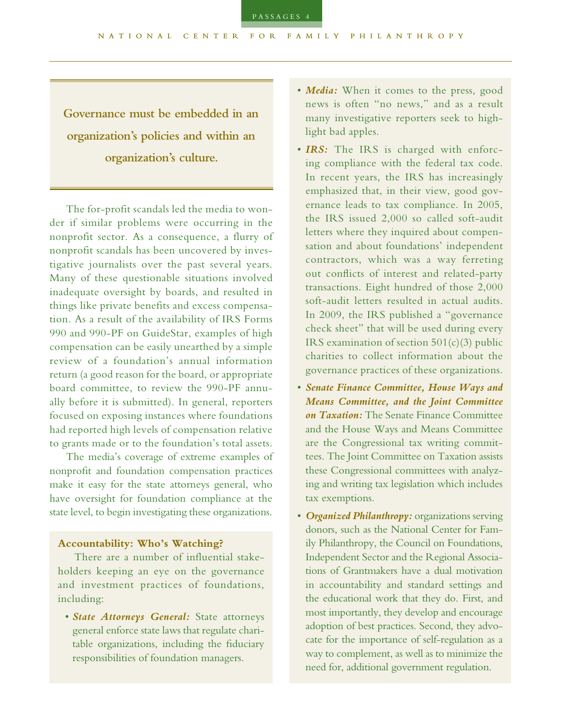TILANROPYThe for-profit scandals led the media to won-**Governance must be embedded in an organization's policies and within an organization's culture.**

der if similar problems were occurring in the nonprofit sector. As a consequence, a flurry of nonprofit scandals has been uncovered by investigative journalists over the past several years. Many of these questionable situations involved inadequate oversight by boards, and resulted in things like private benefits and excess compensation. As a result of the availability of IRS Forms 990 and 990-PF on GuideStar, examples of high compensation can be easily unearthed by a simple review of a foundation's annual information return (a good reason for the board, or appropriate board committee, to review the 990-PF annually before it is submitted). In general, reporters focused on exposing instances where foundations had reported high levels of compensation relative to grants made or to the foundation's total assets.

The media's coverage of extreme examples of nonprofit and foundation compensation practices make it easy for the state attorneys general, who have oversight for foundation compliance at the state level, to begin investigating these organizations.

#### **Accountability: Who's Watching?**

There are a number of influential stakeholders keeping an eye on the governance and investment practices of foundations, including:

• *State Attorneys General:* State attorneys general enforce state laws that regulate charitable organizations, including the fiduciary responsibilities of foundation managers.

- *Media:* When it comes to the press, good news is often "no news," and as a result many investigative reporters seek to highlight bad apples.
- *IRS:* The IRS is charged with enforcing compliance with the federal tax code. In recent years, the IRS has increasingly emphasized that, in their view, good governance leads to tax compliance. In 2005, the IRS issued 2,000 so called soft-audit letters where they inquired about compensation and about foundations' independent contractors, which was a way ferreting out conflicts of interest and related-party transactions. Eight hundred of those 2,000 soft-audit letters resulted in actual audits. In 2009, the IRS published a "governance check sheet" that will be used during every IRS examination of section  $501(c)(3)$  public charities to collect information about the governance practices of these organizations.
- *Senate Finance Committee, House Ways and Means Committee, and the Joint Committee on Taxation:* The Senate Finance Committee and the House Ways and Means Committee are the Congressional tax writing committees. The Joint Committee on Taxation assists these Congressional committees with analyzing and writing tax legislation which includes tax exemptions.
- *Organized Philanthropy:* organizations serving donors, such as the National Center for Family Philanthropy, the Council on Foundations, Independent Sector and the Regional Associations of Grantmakers have a dual motivation in accountability and standard settings and the educational work that they do. First, and most importantly, they develop and encourage adoption of best practices. Second, they advocate for the importance of self-regulation as a way to complement, as well as to minimize the need for, additional government regulation.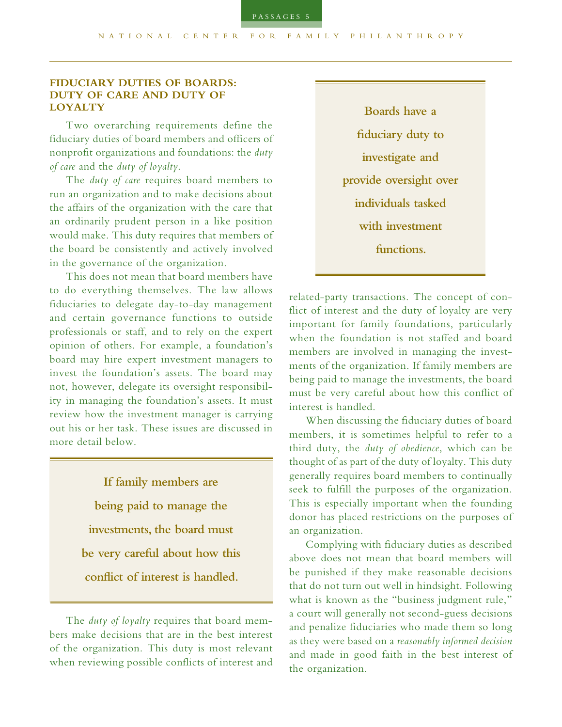# **FIDUCIARY DUTIES OF BOARDS: DUTY OF CARE AND DUTY OF LOYALTY**

Two overarching requirements define the fiduciary duties of board members and officers of nonprofit organizations and foundations: the *duty of care* and the *duty of loyalty*.

The *duty of care* requires board members to run an organization and to make decisions about the affairs of the organization with the care that an ordinarily prudent person in a like position would make. This duty requires that members of the board be consistently and actively involved in the governance of the organization.

This does not mean that board members have to do everything themselves. The law allows fiduciaries to delegate day-to-day management and certain governance functions to outside professionals or staff, and to rely on the expert opinion of others. For example, a foundation's board may hire expert investment managers to invest the foundation's assets. The board may not, however, delegate its oversight responsibility in managing the foundation's assets. It must review how the investment manager is carrying out his or her task. These issues are discussed in more detail below.

> **If family members are being paid to manage the investments, the board must be very careful about how this conflict of interest is handled.**

The *duty of loyalty* requires that board members make decisions that are in the best interest of the organization. This duty is most relevant when reviewing possible conflicts of interest and

**Boards have a fiduciary duty to investigate and provide oversight over individuals tasked with investment functions.**

related-party transactions. The concept of conflict of interest and the duty of loyalty are very important for family foundations, particularly when the foundation is not staffed and board members are involved in managing the investments of the organization. If family members are being paid to manage the investments, the board must be very careful about how this conflict of interest is handled.

When discussing the fiduciary duties of board members, it is sometimes helpful to refer to a third duty, the *duty of obedience*, which can be thought of as part of the duty of loyalty. This duty generally requires board members to continually seek to fulfill the purposes of the organization. This is especially important when the founding donor has placed restrictions on the purposes of an organization.

Complying with fiduciary duties as described above does not mean that board members will be punished if they make reasonable decisions that do not turn out well in hindsight. Following what is known as the "business judgment rule," a court will generally not second-guess decisions and penalize fiduciaries who made them so long as they were based on a *reasonably informed decision*  and made in good faith in the best interest of the organization.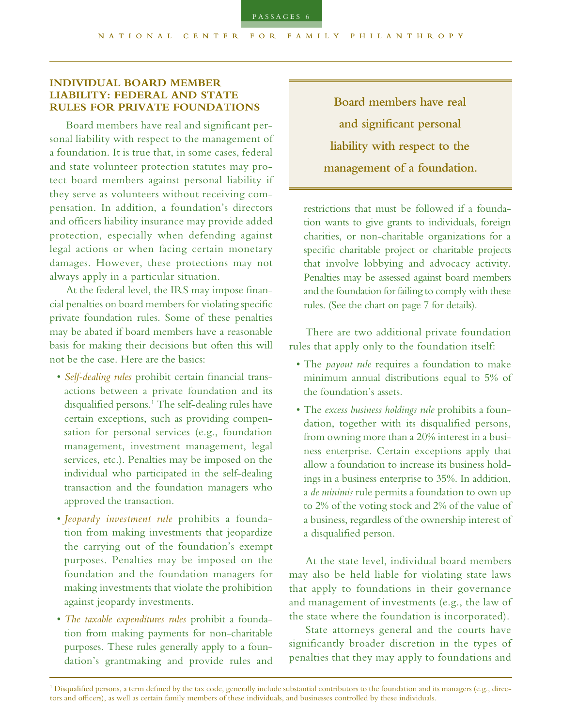## **INDIVIDUAL BOARD MEMBER LIABILITY: FEDERAL AND STATE RULES FOR PRIVATE FOUNDATIONS**

Board members have real and significant personal liability with respect to the management of a foundation. It is true that, in some cases, federal and state volunteer protection statutes may protect board members against personal liability if they serve as volunteers without receiving compensation. In addition, a foundation's directors and officers liability insurance may provide added protection, especially when defending against legal actions or when facing certain monetary damages. However, these protections may not always apply in a particular situation.

At the federal level, the IRS may impose financial penalties on board members for violating specific private foundation rules. Some of these penalties may be abated if board members have a reasonable basis for making their decisions but often this will not be the case. Here are the basics:

- *Self-dealing rules* prohibit certain financial transactions between a private foundation and its disqualified persons.<sup>1</sup> The self-dealing rules have certain exceptions, such as providing compensation for personal services (e.g., foundation management, investment management, legal services, etc.). Penalties may be imposed on the individual who participated in the self-dealing transaction and the foundation managers who approved the transaction.
- *Jeopardy investment rule* prohibits a foundation from making investments that jeopardize the carrying out of the foundation's exempt purposes. Penalties may be imposed on the foundation and the foundation managers for making investments that violate the prohibition against jeopardy investments.
- *The taxable expenditures rules* prohibit a foundation from making payments for non-charitable purposes. These rules generally apply to a foundation's grantmaking and provide rules and

**Board members have real and significant personal liability with respect to the management of a foundation.** 

restrictions that must be followed if a foundation wants to give grants to individuals, foreign charities, or non-charitable organizations for a specific charitable project or charitable projects that involve lobbying and advocacy activity. Penalties may be assessed against board members and the foundation for failing to comply with these rules. (See the chart on page 7 for details).

There are two additional private foundation rules that apply only to the foundation itself:

- The *payout rule* requires a foundation to make minimum annual distributions equal to 5% of the foundation's assets.
- The *excess business holdings rule* prohibits a foundation, together with its disqualified persons, from owning more than a 20% interest in a business enterprise. Certain exceptions apply that allow a foundation to increase its business holdings in a business enterprise to 35%. In addition, a *de minimis* rule permits a foundation to own up to 2% of the voting stock and 2% of the value of a business, regardless of the ownership interest of a disqualified person.

At the state level, individual board members may also be held liable for violating state laws that apply to foundations in their governance and management of investments (e.g., the law of the state where the foundation is incorporated).

State attorneys general and the courts have significantly broader discretion in the types of penalties that they may apply to foundations and

<sup>&</sup>lt;sup>1</sup> Disqualified persons, a term defined by the tax code, generally include substantial contributors to the foundation and its managers (e.g., directors and officers), as well as certain family members of these individuals, and businesses controlled by these individuals.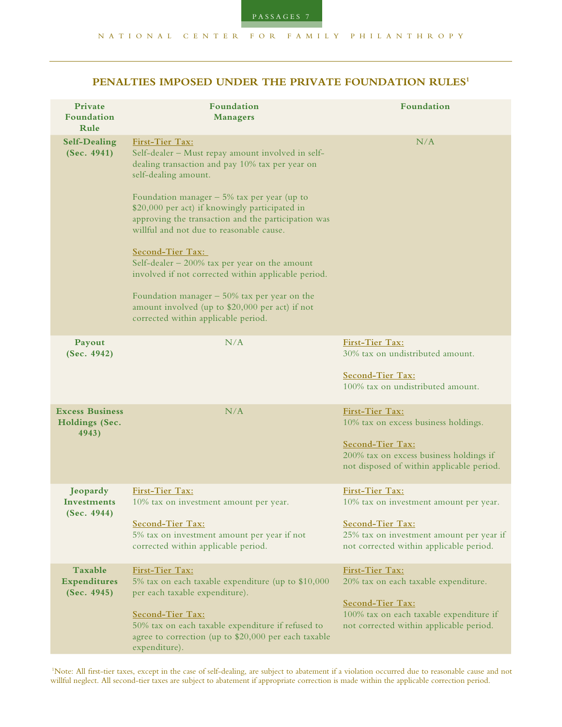| Private<br>Foundation<br>Rule                     | Foundation<br><b>Managers</b>                                                                                                                                                                                                                                                                                                                                                                                                                                                                                                                                                                                                   | Foundation                                                                                                                                                           |
|---------------------------------------------------|---------------------------------------------------------------------------------------------------------------------------------------------------------------------------------------------------------------------------------------------------------------------------------------------------------------------------------------------------------------------------------------------------------------------------------------------------------------------------------------------------------------------------------------------------------------------------------------------------------------------------------|----------------------------------------------------------------------------------------------------------------------------------------------------------------------|
| <b>Self-Dealing</b><br>(Sec. 4941)                | First-Tier Tax:<br>Self-dealer - Must repay amount involved in self-<br>dealing transaction and pay 10% tax per year on<br>self-dealing amount.<br>Foundation manager $-5\%$ tax per year (up to<br>\$20,000 per act) if knowingly participated in<br>approving the transaction and the participation was<br>willful and not due to reasonable cause.<br>Second-Tier Tax:<br>Self-dealer $-200\%$ tax per year on the amount<br>involved if not corrected within applicable period.<br>Foundation manager $-50\%$ tax per year on the<br>amount involved (up to \$20,000 per act) if not<br>corrected within applicable period. | N/A                                                                                                                                                                  |
| Payout<br>(Sec. 4942)                             | N/A                                                                                                                                                                                                                                                                                                                                                                                                                                                                                                                                                                                                                             | First-Tier Tax:<br>30% tax on undistributed amount.<br>Second-Tier Tax:<br>100% tax on undistributed amount.                                                         |
| <b>Excess Business</b><br>Holdings (Sec.<br>4943) | N/A                                                                                                                                                                                                                                                                                                                                                                                                                                                                                                                                                                                                                             | First-Tier Tax:<br>10% tax on excess business holdings.<br>Second-Tier Tax:<br>200% tax on excess business holdings if<br>not disposed of within applicable period.  |
| Jeopardy<br>Investments<br>(Sec. 4944)            | First-Tier Tax:<br>10% tax on investment amount per year.<br>Second-Tier Tax:<br>5% tax on investment amount per year if not<br>corrected within applicable period.                                                                                                                                                                                                                                                                                                                                                                                                                                                             | First-Tier Tax:<br>10% tax on investment amount per year.<br>Second-Tier Tax:<br>25% tax on investment amount per year if<br>not corrected within applicable period. |
| Taxable<br>Expenditures<br>(Sec. 4945)            | First-Tier Tax:<br>5% tax on each taxable expenditure (up to \$10,000<br>per each taxable expenditure).<br>Second-Tier Tax:<br>50% tax on each taxable expenditure if refused to<br>agree to correction (up to \$20,000 per each taxable<br>expenditure).                                                                                                                                                                                                                                                                                                                                                                       | First-Tier Tax:<br>20% tax on each taxable expenditure.<br>Second-Tier Tax:<br>100% tax on each taxable expenditure if<br>not corrected within applicable period.    |

 1Note: All first-tier taxes, except in the case of self-dealing, are subject to abatement if a violation occurred due to reasonable cause and not willful neglect. All second-tier taxes are subject to abatement if appropriate correction is made within the applicable correction period.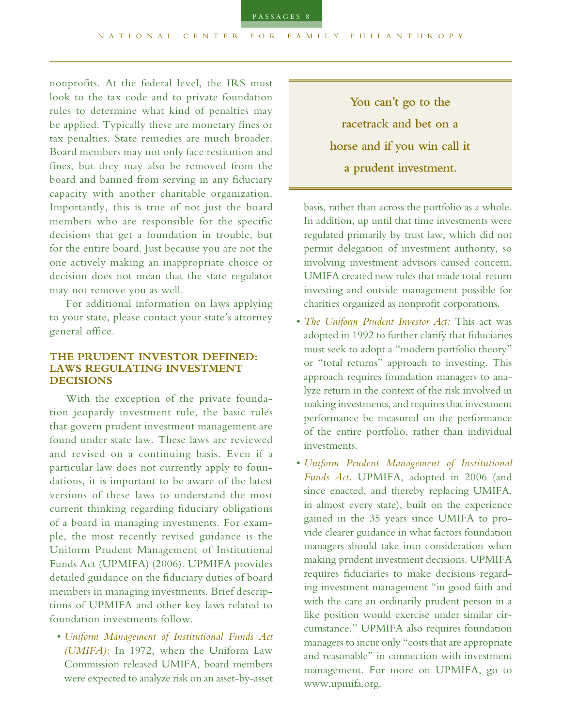nonprofits. At the federal level, the IRS must look to the tax code and to private foundation rules to determine what kind of penalties may be applied. Typically these are monetary fines or tax penalties. State remedies are much broader. Board members may not only face restitution and fines, but they may also be removed from the board and banned from serving in any fiduciary capacity with another charitable organization. Importantly, this is true of not just the board members who are responsible for the specific decisions that get a foundation in trouble, but for the entire board. Just because you are not the one actively making an inappropriate choice or decision does not mean that the state regulator may not remove you as well.

For additional information on laws applying to your state, please contact your state's attorney general office.

# **THE PRUDENT INVESTOR DEFINED: LAWS REGULATING INVESTMENT DECISIONS**

With the exception of the private foundation jeopardy investment rule, the basic rules that govern prudent investment management are found under state law. These laws are reviewed and revised on a continuing basis. Even if a particular law does not currently apply to foundations, it is important to be aware of the latest versions of these laws to understand the most current thinking regarding fiduciary obligations of a board in managing investments. For example, the most recently revised guidance is the Uniform Prudent Management of Institutional Funds Act (UPMIFA) (2006). UPMIFA provides detailed guidance on the fiduciary duties of board members in managing investments. Brief descriptions of UPMIFA and other key laws related to foundation investments follow.

• *Uniform Management of Institutional Funds Act (UMIFA):* In 1972, when the Uniform Law Commission released UMIFA, board members were expected to analyze risk on an asset-by-asset

**You can't go to the racetrack and bet on a horse and if you win call it a prudent investment.**

basis, rather than across the portfolio as a whole. In addition, up until that time investments were regulated primarily by trust law, which did not permit delegation of investment authority, so involving investment advisors caused concern. UMIFA created new rules that made total-return investing and outside management possible for charities organized as nonprofit corporations.

- *The Uniform Prudent Investor Act:* This act was adopted in 1992 to further clarify that fiduciaries must seek to adopt a "modern portfolio theory" or "total returns" approach to investing. This approach requires foundation managers to analyze return in the context of the risk involved in making investments, and requires that investment performance be measured on the performance of the entire portfolio, rather than individual investments.
- *Uniform Prudent Management of Institutional Funds Act.* UPMIFA, adopted in 2006 (and since enacted, and thereby replacing UMIFA, in almost every state), built on the experience gained in the 35 years since UMIFA to provide clearer guidance in what factors foundation managers should take into consideration when making prudent investment decisions. UPMIFA requires fiduciaries to make decisions regarding investment management "in good faith and with the care an ordinarily prudent person in a like position would exercise under similar circumstance." UPMIFA also requires foundation managers to incur only "costs that are appropriate and reasonable" in connection with investment management. For more on UPMIFA, go to www.upmifa.org.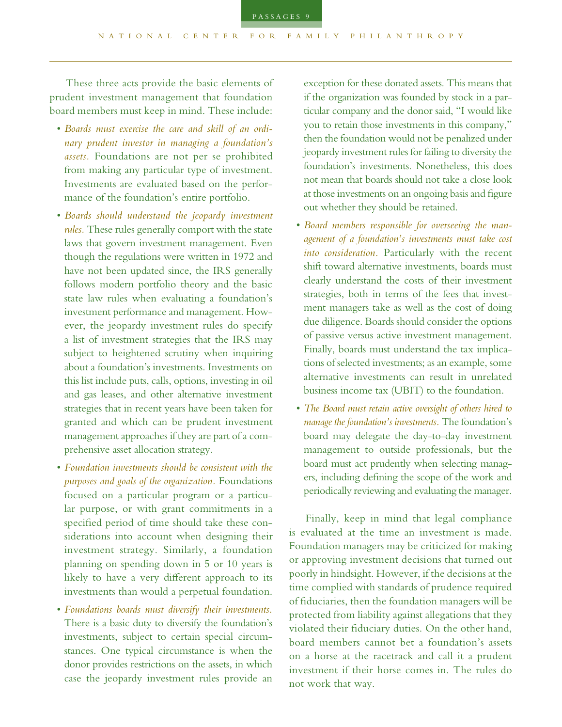These three acts provide the basic elements of prudent investment management that foundation board members must keep in mind. These include:

- *Boards must exercise the care and skill of an ordinary prudent investor in managing a foundation's assets.* Foundations are not per se prohibited from making any particular type of investment. Investments are evaluated based on the performance of the foundation's entire portfolio.
- *Boards should understand the jeopardy investment rules.* These rules generally comport with the state laws that govern investment management. Even though the regulations were written in 1972 and have not been updated since, the IRS generally follows modern portfolio theory and the basic state law rules when evaluating a foundation's investment performance and management. However, the jeopardy investment rules do specify a list of investment strategies that the IRS may subject to heightened scrutiny when inquiring about a foundation's investments. Investments on this list include puts, calls, options, investing in oil and gas leases, and other alternative investment strategies that in recent years have been taken for granted and which can be prudent investment management approaches if they are part of a comprehensive asset allocation strategy.
- *Foundation investments should be consistent with the purposes and goals of the organization.* Foundations focused on a particular program or a particular purpose, or with grant commitments in a specified period of time should take these considerations into account when designing their investment strategy. Similarly, a foundation planning on spending down in 5 or 10 years is likely to have a very different approach to its investments than would a perpetual foundation.
- *Foundations boards must diversify their investments.* There is a basic duty to diversify the foundation's investments, subject to certain special circumstances. One typical circumstance is when the donor provides restrictions on the assets, in which case the jeopardy investment rules provide an

exception for these donated assets. This means that if the organization was founded by stock in a particular company and the donor said, "I would like you to retain those investments in this company," then the foundation would not be penalized under jeopardy investment rules for failing to diversity the foundation's investments. Nonetheless, this does not mean that boards should not take a close look at those investments on an ongoing basis and figure out whether they should be retained.

- *Board members responsible for overseeing the management of a foundation's investments must take cost into consideration.* Particularly with the recent shift toward alternative investments, boards must clearly understand the costs of their investment strategies, both in terms of the fees that investment managers take as well as the cost of doing due diligence. Boards should consider the options of passive versus active investment management. Finally, boards must understand the tax implications of selected investments; as an example, some alternative investments can result in unrelated business income tax (UBIT) to the foundation.
- *The Board must retain active oversight of others hired to manage the foundation's investments.* The foundation's board may delegate the day-to-day investment management to outside professionals, but the board must act prudently when selecting managers, including defining the scope of the work and periodically reviewing and evaluating the manager.

Finally, keep in mind that legal compliance is evaluated at the time an investment is made. Foundation managers may be criticized for making or approving investment decisions that turned out poorly in hindsight. However, if the decisions at the time complied with standards of prudence required of fiduciaries, then the foundation managers will be protected from liability against allegations that they violated their fiduciary duties. On the other hand, board members cannot bet a foundation's assets on a horse at the racetrack and call it a prudent investment if their horse comes in. The rules do not work that way.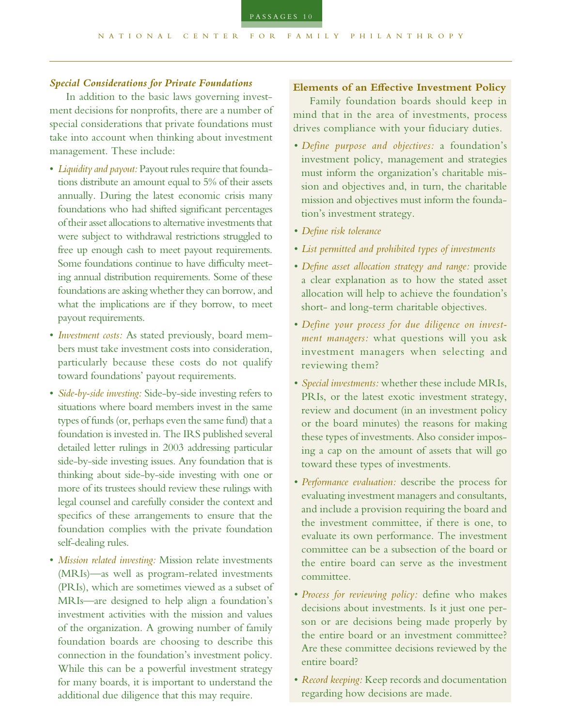## *Special Considerations for Private Foundations*

In addition to the basic laws governing investment decisions for nonprofits, there are a number of special considerations that private foundations must take into account when thinking about investment management. These include:

- *Liquidity and payout:* Payout rules require that foundations distribute an amount equal to 5% of their assets annually. During the latest economic crisis many foundations who had shifted significant percentages of their asset allocations to alternative investments that were subject to withdrawal restrictions struggled to free up enough cash to meet payout requirements. Some foundations continue to have difficulty meeting annual distribution requirements. Some of these foundations are asking whether they can borrow, and what the implications are if they borrow, to meet payout requirements.
- *Investment costs:* As stated previously, board members must take investment costs into consideration, particularly because these costs do not qualify toward foundations' payout requirements.
- *Side-by-side investing:* Side-by-side investing refers to situations where board members invest in the same types of funds (or, perhaps even the same fund) that a foundation is invested in. The IRS published several detailed letter rulings in 2003 addressing particular side-by-side investing issues. Any foundation that is thinking about side-by-side investing with one or more of its trustees should review these rulings with legal counsel and carefully consider the context and specifics of these arrangements to ensure that the foundation complies with the private foundation self-dealing rules.
- *Mission related investing:* Mission relate investments (MRIs)*—*as well as program-related investments (PRIs), which are sometimes viewed as a subset of MRIs*—*are designed to help align a foundation's investment activities with the mission and values of the organization. A growing number of family foundation boards are choosing to describe this connection in the foundation's investment policy. While this can be a powerful investment strategy for many boards, it is important to understand the additional due diligence that this may require.

#### **Elements of an Effective Investment Policy**

Family foundation boards should keep in mind that in the area of investments, process drives compliance with your fiduciary duties.

- *Define purpose and objectives:* a foundation's investment policy, management and strategies must inform the organization's charitable mission and objectives and, in turn, the charitable mission and objectives must inform the foundation's investment strategy.
- *Define risk tolerance*
- *List permitted and prohibited types of investments*
- *Define asset allocation strategy and range:* provide a clear explanation as to how the stated asset allocation will help to achieve the foundation's short- and long-term charitable objectives.
- *Define your process for due diligence on investment managers:* what questions will you ask investment managers when selecting and reviewing them?
- *Special investments:* whether these include MRIs, PRIs, or the latest exotic investment strategy, review and document (in an investment policy or the board minutes) the reasons for making these types of investments. Also consider imposing a cap on the amount of assets that will go toward these types of investments.
- *Performance evaluation:* describe the process for evaluating investment managers and consultants, and include a provision requiring the board and the investment committee, if there is one, to evaluate its own performance. The investment committee can be a subsection of the board or the entire board can serve as the investment committee.
- *Process for reviewing policy:* define who makes decisions about investments. Is it just one person or are decisions being made properly by the entire board or an investment committee? Are these committee decisions reviewed by the entire board?
- *Record keeping:* Keep records and documentation regarding how decisions are made.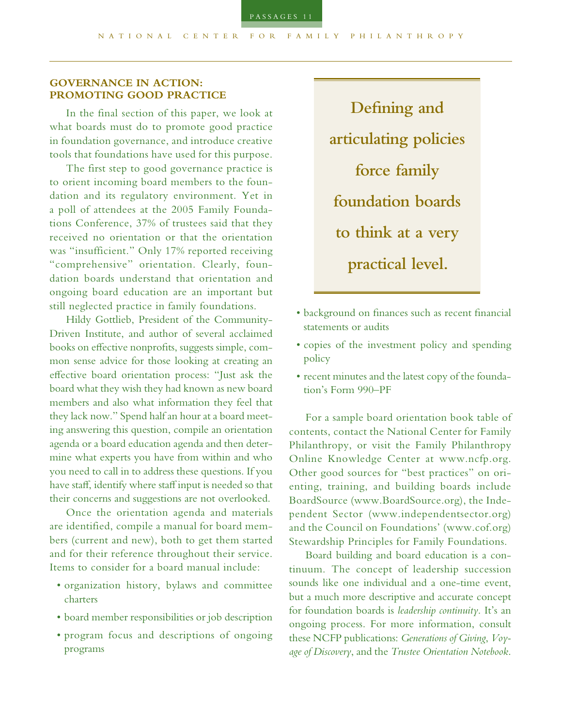# **GOVERNANCE IN ACTION: PROMOTING GOOD PRACTICE**

In the final section of this paper, we look at what boards must do to promote good practice in foundation governance, and introduce creative tools that foundations have used for this purpose.

The first step to good governance practice is to orient incoming board members to the foundation and its regulatory environment. Yet in a poll of attendees at the 2005 Family Foundations Conference, 37% of trustees said that they received no orientation or that the orientation was "insufficient." Only 17% reported receiving "comprehensive" orientation. Clearly, foundation boards understand that orientation and ongoing board education are an important but still neglected practice in family foundations.

Hildy Gottlieb, President of the Community-Driven Institute, and author of several acclaimed books on effective nonprofits, suggests simple, common sense advice for those looking at creating an effective board orientation process: "Just ask the board what they wish they had known as new board members and also what information they feel that they lack now." Spend half an hour at a board meeting answering this question, compile an orientation agenda or a board education agenda and then determine what experts you have from within and who you need to call in to address these questions. If you have staff, identify where staff input is needed so that their concerns and suggestions are not overlooked.

Once the orientation agenda and materials are identified, compile a manual for board members (current and new), both to get them started and for their reference throughout their service. Items to consider for a board manual include:

- organization history, bylaws and committee charters
- board member responsibilities or job description
- program focus and descriptions of ongoing programs

**Defining and articulating policies force family foundation boards to think at a very practical level.**

- background on finances such as recent financial statements or audits
- copies of the investment policy and spending policy
- recent minutes and the latest copy of the foundation's Form 990–PF

For a sample board orientation book table of contents, contact the National Center for Family Philanthropy, or visit the Family Philanthropy Online Knowledge Center at www.ncfp.org. Other good sources for "best practices" on orienting, training, and building boards include BoardSource (www.BoardSource.org), the Independent Sector (www.independentsector.org) and the Council on Foundations' (www.cof.org) Stewardship Principles for Family Foundations.

Board building and board education is a continuum. The concept of leadership succession sounds like one individual and a one-time event, but a much more descriptive and accurate concept for foundation boards is *leadership continuity*. It's an ongoing process. For more information, consult these NCFP publications: *Generations of Giving*, *Voyage of Discovery*, and the *Trustee Orientation Notebook*.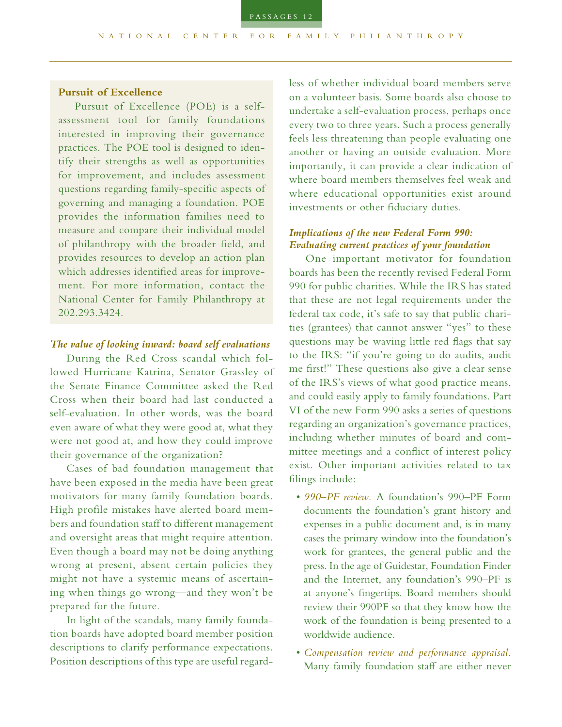# **Pursuit of Excellence**

Pursuit of Excellence (POE) is a selfassessment tool for family foundations interested in improving their governance practices. The POE tool is designed to identify their strengths as well as opportunities for improvement, and includes assessment questions regarding family-specific aspects of governing and managing a foundation. POE provides the information families need to measure and compare their individual model of philanthropy with the broader field, and provides resources to develop an action plan which addresses identified areas for improvement. For more information, contact the National Center for Family Philanthropy at 202.293.3424.

## *The value of looking inward: board self evaluations*

During the Red Cross scandal which followed Hurricane Katrina, Senator Grassley of the Senate Finance Committee asked the Red Cross when their board had last conducted a self-evaluation. In other words, was the board even aware of what they were good at, what they were not good at, and how they could improve their governance of the organization?

Cases of bad foundation management that have been exposed in the media have been great motivators for many family foundation boards. High profile mistakes have alerted board members and foundation staff to different management and oversight areas that might require attention. Even though a board may not be doing anything wrong at present, absent certain policies they might not have a systemic means of ascertaining when things go wrong*—*and they won't be prepared for the future.

In light of the scandals, many family foundation boards have adopted board member position descriptions to clarify performance expectations. Position descriptions of this type are useful regardless of whether individual board members serve on a volunteer basis. Some boards also choose to undertake a self-evaluation process, perhaps once every two to three years. Such a process generally feels less threatening than people evaluating one another or having an outside evaluation. More importantly, it can provide a clear indication of where board members themselves feel weak and where educational opportunities exist around investments or other fiduciary duties.

# *Implications of the new Federal Form 990: Evaluating current practices of your foundation*

One important motivator for foundation boards has been the recently revised Federal Form 990 for public charities. While the IRS has stated that these are not legal requirements under the federal tax code, it's safe to say that public charities (grantees) that cannot answer "yes" to these questions may be waving little red flags that say to the IRS: "if you're going to do audits, audit me first!" These questions also give a clear sense of the IRS's views of what good practice means, and could easily apply to family foundations. Part VI of the new Form 990 asks a series of questions regarding an organization's governance practices, including whether minutes of board and committee meetings and a conflict of interest policy exist. Other important activities related to tax filings include:

- *990–PF review.* A foundation's 990–PF Form documents the foundation's grant history and expenses in a public document and, is in many cases the primary window into the foundation's work for grantees, the general public and the press. In the age of Guidestar, Foundation Finder and the Internet, any foundation's 990–PF is at anyone's fingertips. Board members should review their 990PF so that they know how the work of the foundation is being presented to a worldwide audience.
- *Compensation review and performance appraisal.*  Many family foundation staff are either never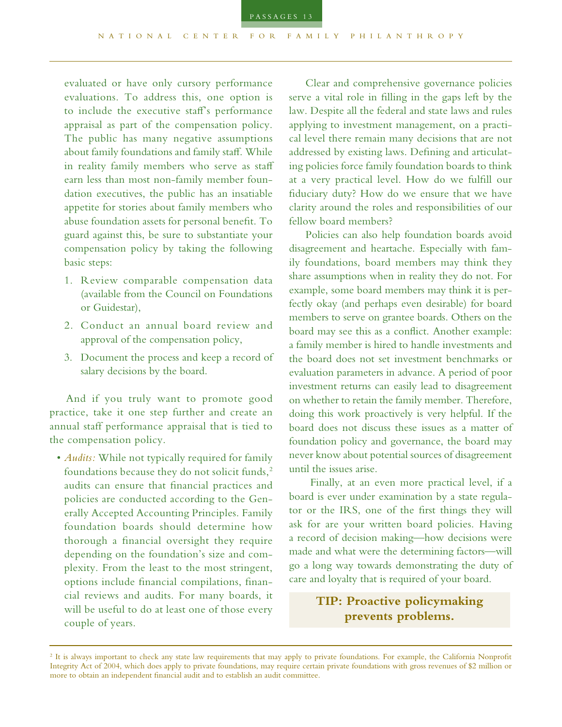

evaluated or have only cursory performance evaluations. To address this, one option is to include the executive staff's performance appraisal as part of the compensation policy. The public has many negative assumptions about family foundations and family staff. While in reality family members who serve as staff earn less than most non-family member foundation executives, the public has an insatiable appetite for stories about family members who abuse foundation assets for personal benefit. To guard against this, be sure to substantiate your compensation policy by taking the following basic steps:

- 1. Review comparable compensation data (available from the Council on Foundations or Guidestar),
- 2. Conduct an annual board review and approval of the compensation policy,
- 3. Document the process and keep a record of salary decisions by the board.

And if you truly want to promote good practice, take it one step further and create an annual staff performance appraisal that is tied to the compensation policy.

• *Audits:* While not typically required for family foundations because they do not solicit funds,<sup>2</sup> audits can ensure that financial practices and policies are conducted according to the Generally Accepted Accounting Principles. Family foundation boards should determine how thorough a financial oversight they require depending on the foundation's size and complexity. From the least to the most stringent, options include financial compilations, financial reviews and audits. For many boards, it will be useful to do at least one of those every couple of years.

Clear and comprehensive governance policies serve a vital role in filling in the gaps left by the law. Despite all the federal and state laws and rules applying to investment management, on a practical level there remain many decisions that are not addressed by existing laws. Defining and articulating policies force family foundation boards to think at a very practical level. How do we fulfill our fiduciary duty? How do we ensure that we have clarity around the roles and responsibilities of our fellow board members?

Policies can also help foundation boards avoid disagreement and heartache. Especially with family foundations, board members may think they share assumptions when in reality they do not. For example, some board members may think it is perfectly okay (and perhaps even desirable) for board members to serve on grantee boards. Others on the board may see this as a conflict. Another example: a family member is hired to handle investments and the board does not set investment benchmarks or evaluation parameters in advance. A period of poor investment returns can easily lead to disagreement on whether to retain the family member. Therefore, doing this work proactively is very helpful. If the board does not discuss these issues as a matter of foundation policy and governance, the board may never know about potential sources of disagreement until the issues arise.

 Finally, at an even more practical level, if a board is ever under examination by a state regulator or the IRS, one of the first things they will ask for are your written board policies. Having a record of decision making*—*how decisions were made and what were the determining factors*—*will go a long way towards demonstrating the duty of care and loyalty that is required of your board.

> **TIP: Proactive policymaking prevents problems.**

<sup>&</sup>lt;sup>2</sup> It is always important to check any state law requirements that may apply to private foundations. For example, the California Nonprofit Integrity Act of 2004, which does apply to private foundations, may require certain private foundations with gross revenues of \$2 million or more to obtain an independent financial audit and to establish an audit committee.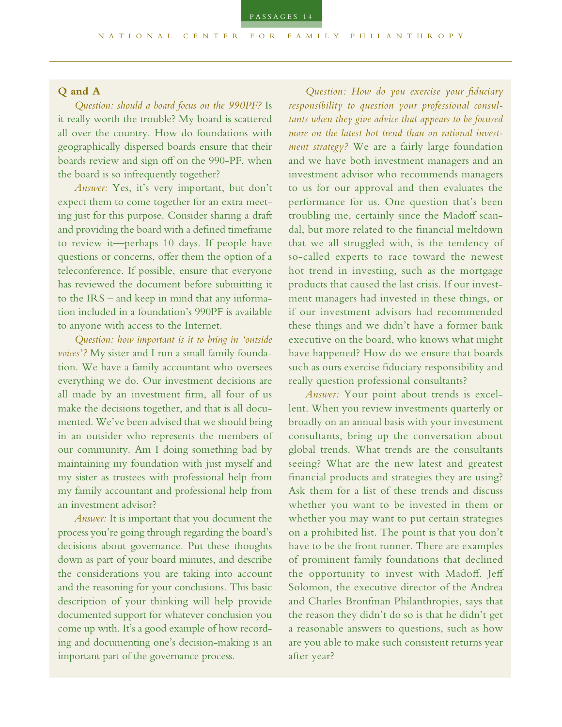## **Q and A**

*Question: should a board focus on the 990PF?* Is it really worth the trouble? My board is scattered all over the country. How do foundations with geographically dispersed boards ensure that their boards review and sign off on the 990-PF, when the board is so infrequently together?

*Answer:* Yes, it's very important, but don't expect them to come together for an extra meeting just for this purpose. Consider sharing a draft and providing the board with a defined timeframe to review it––perhaps 10 days. If people have questions or concerns, offer them the option of a teleconference. If possible, ensure that everyone has reviewed the document before submitting it to the IRS – and keep in mind that any information included in a foundation's 990PF is available to anyone with access to the Internet.

*Question: how important is it to bring in 'outside voices'?* My sister and I run a small family foundation. We have a family accountant who oversees everything we do. Our investment decisions are all made by an investment firm, all four of us make the decisions together, and that is all documented. We've been advised that we should bring in an outsider who represents the members of our community. Am I doing something bad by maintaining my foundation with just myself and my sister as trustees with professional help from my family accountant and professional help from an investment advisor?

*Answer:* It is important that you document the process you're going through regarding the board's decisions about governance. Put these thoughts down as part of your board minutes, and describe the considerations you are taking into account and the reasoning for your conclusions. This basic description of your thinking will help provide documented support for whatever conclusion you come up with. It's a good example of how recording and documenting one's decision-making is an important part of the governance process.

*Question: How do you exercise your fiduciary responsibility to question your professional consultants when they give advice that appears to be focused more on the latest hot trend than on rational investment strategy?* We are a fairly large foundation and we have both investment managers and an investment advisor who recommends managers to us for our approval and then evaluates the performance for us. One question that's been troubling me, certainly since the Madoff scandal, but more related to the financial meltdown that we all struggled with, is the tendency of so-called experts to race toward the newest hot trend in investing, such as the mortgage products that caused the last crisis. If our investment managers had invested in these things, or if our investment advisors had recommended these things and we didn't have a former bank executive on the board, who knows what might have happened? How do we ensure that boards such as ours exercise fiduciary responsibility and really question professional consultants?

*Answer:* Your point about trends is excellent. When you review investments quarterly or broadly on an annual basis with your investment consultants, bring up the conversation about global trends. What trends are the consultants seeing? What are the new latest and greatest financial products and strategies they are using? Ask them for a list of these trends and discuss whether you want to be invested in them or whether you may want to put certain strategies on a prohibited list. The point is that you don't have to be the front runner. There are examples of prominent family foundations that declined the opportunity to invest with Madoff. Jeff Solomon, the executive director of the Andrea and Charles Bronfman Philanthropies, says that the reason they didn't do so is that he didn't get a reasonable answers to questions, such as how are you able to make such consistent returns year after year?